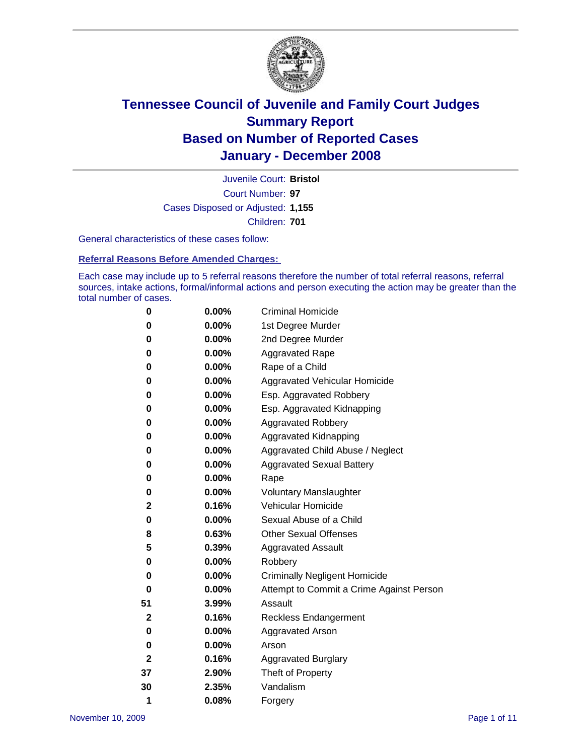

Court Number: **97** Juvenile Court: **Bristol** Cases Disposed or Adjusted: **1,155** Children: **701**

General characteristics of these cases follow:

**Referral Reasons Before Amended Charges:** 

Each case may include up to 5 referral reasons therefore the number of total referral reasons, referral sources, intake actions, formal/informal actions and person executing the action may be greater than the total number of cases.

| 0  | 0.00%    | <b>Criminal Homicide</b>                 |
|----|----------|------------------------------------------|
| 0  | 0.00%    | 1st Degree Murder                        |
| 0  | $0.00\%$ | 2nd Degree Murder                        |
| 0  | 0.00%    | <b>Aggravated Rape</b>                   |
| 0  | 0.00%    | Rape of a Child                          |
| 0  | 0.00%    | Aggravated Vehicular Homicide            |
| 0  | 0.00%    | Esp. Aggravated Robbery                  |
| 0  | 0.00%    | Esp. Aggravated Kidnapping               |
| 0  | 0.00%    | <b>Aggravated Robbery</b>                |
| 0  | $0.00\%$ | Aggravated Kidnapping                    |
| 0  | 0.00%    | Aggravated Child Abuse / Neglect         |
| 0  | $0.00\%$ | <b>Aggravated Sexual Battery</b>         |
| 0  | 0.00%    | Rape                                     |
| 0  | 0.00%    | <b>Voluntary Manslaughter</b>            |
| 2  | 0.16%    | Vehicular Homicide                       |
| 0  | 0.00%    | Sexual Abuse of a Child                  |
| 8  | 0.63%    | <b>Other Sexual Offenses</b>             |
| 5  | 0.39%    | <b>Aggravated Assault</b>                |
| 0  | $0.00\%$ | Robbery                                  |
| 0  | 0.00%    | <b>Criminally Negligent Homicide</b>     |
| 0  | 0.00%    | Attempt to Commit a Crime Against Person |
| 51 | 3.99%    | Assault                                  |
| 2  | 0.16%    | <b>Reckless Endangerment</b>             |
| 0  | 0.00%    | Aggravated Arson                         |
| 0  | 0.00%    | Arson                                    |
| 2  | 0.16%    | <b>Aggravated Burglary</b>               |
| 37 | 2.90%    | Theft of Property                        |
| 30 | 2.35%    | Vandalism                                |
| 1  | 0.08%    | Forgery                                  |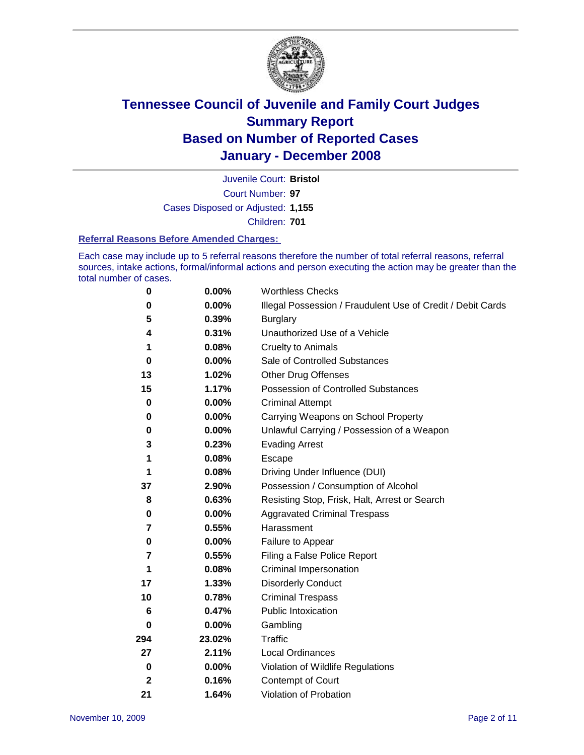

Court Number: **97** Juvenile Court: **Bristol** Cases Disposed or Adjusted: **1,155** Children: **701**

#### **Referral Reasons Before Amended Charges:**

Each case may include up to 5 referral reasons therefore the number of total referral reasons, referral sources, intake actions, formal/informal actions and person executing the action may be greater than the total number of cases.

| 0            | 0.00%    | <b>Worthless Checks</b>                                     |
|--------------|----------|-------------------------------------------------------------|
| 0            | 0.00%    | Illegal Possession / Fraudulent Use of Credit / Debit Cards |
| 5            | 0.39%    | <b>Burglary</b>                                             |
| 4            | 0.31%    | Unauthorized Use of a Vehicle                               |
| 1            | 0.08%    | <b>Cruelty to Animals</b>                                   |
| 0            | 0.00%    | Sale of Controlled Substances                               |
| 13           | 1.02%    | <b>Other Drug Offenses</b>                                  |
| 15           | 1.17%    | Possession of Controlled Substances                         |
| $\mathbf 0$  | $0.00\%$ | <b>Criminal Attempt</b>                                     |
| 0            | 0.00%    | Carrying Weapons on School Property                         |
| 0            | 0.00%    | Unlawful Carrying / Possession of a Weapon                  |
| 3            | 0.23%    | <b>Evading Arrest</b>                                       |
| 1            | 0.08%    | Escape                                                      |
| 1            | 0.08%    | Driving Under Influence (DUI)                               |
| 37           | 2.90%    | Possession / Consumption of Alcohol                         |
| 8            | 0.63%    | Resisting Stop, Frisk, Halt, Arrest or Search               |
| 0            | 0.00%    | <b>Aggravated Criminal Trespass</b>                         |
| 7            | 0.55%    | Harassment                                                  |
| 0            | 0.00%    | Failure to Appear                                           |
| 7            | 0.55%    | Filing a False Police Report                                |
| 1            | 0.08%    | Criminal Impersonation                                      |
| 17           | 1.33%    | <b>Disorderly Conduct</b>                                   |
| 10           | 0.78%    | <b>Criminal Trespass</b>                                    |
| 6            | 0.47%    | <b>Public Intoxication</b>                                  |
| 0            | 0.00%    | Gambling                                                    |
| 294          | 23.02%   | Traffic                                                     |
| 27           | 2.11%    | <b>Local Ordinances</b>                                     |
| 0            | $0.00\%$ | Violation of Wildlife Regulations                           |
| $\mathbf{2}$ | 0.16%    | Contempt of Court                                           |
| 21           | 1.64%    | Violation of Probation                                      |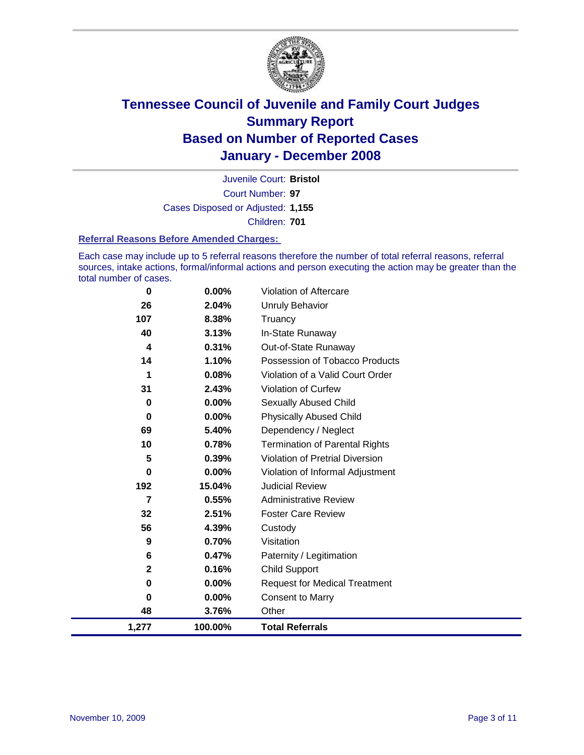

Court Number: **97** Juvenile Court: **Bristol** Cases Disposed or Adjusted: **1,155** Children: **701**

#### **Referral Reasons Before Amended Charges:**

Each case may include up to 5 referral reasons therefore the number of total referral reasons, referral sources, intake actions, formal/informal actions and person executing the action may be greater than the total number of cases.

| 1,277        | 100.00%  | <b>Total Referrals</b>                 |
|--------------|----------|----------------------------------------|
| 48           | 3.76%    | Other                                  |
| 0            | 0.00%    | <b>Consent to Marry</b>                |
| 0            | 0.00%    | <b>Request for Medical Treatment</b>   |
| $\mathbf{2}$ | 0.16%    | <b>Child Support</b>                   |
| 6            | 0.47%    | Paternity / Legitimation               |
| 9            | 0.70%    | Visitation                             |
| 56           | 4.39%    | Custody                                |
| 32           | 2.51%    | <b>Foster Care Review</b>              |
| 7            | 0.55%    | <b>Administrative Review</b>           |
| 192          | 15.04%   | <b>Judicial Review</b>                 |
| 0            | $0.00\%$ | Violation of Informal Adjustment       |
| 5            | 0.39%    | <b>Violation of Pretrial Diversion</b> |
| 10           | 0.78%    | <b>Termination of Parental Rights</b>  |
| 69           | 5.40%    | Dependency / Neglect                   |
| $\mathbf 0$  | 0.00%    | <b>Physically Abused Child</b>         |
| 0            | 0.00%    | <b>Sexually Abused Child</b>           |
| 31           | 2.43%    | <b>Violation of Curfew</b>             |
| 1            | 0.08%    | Violation of a Valid Court Order       |
| 14           | 1.10%    | Possession of Tobacco Products         |
| 4            | 0.31%    | Out-of-State Runaway                   |
| 40           | 3.13%    | In-State Runaway                       |
| 107          | 8.38%    | Truancy                                |
| 26           | 2.04%    | <b>Unruly Behavior</b>                 |
| 0            | 0.00%    | <b>Violation of Aftercare</b>          |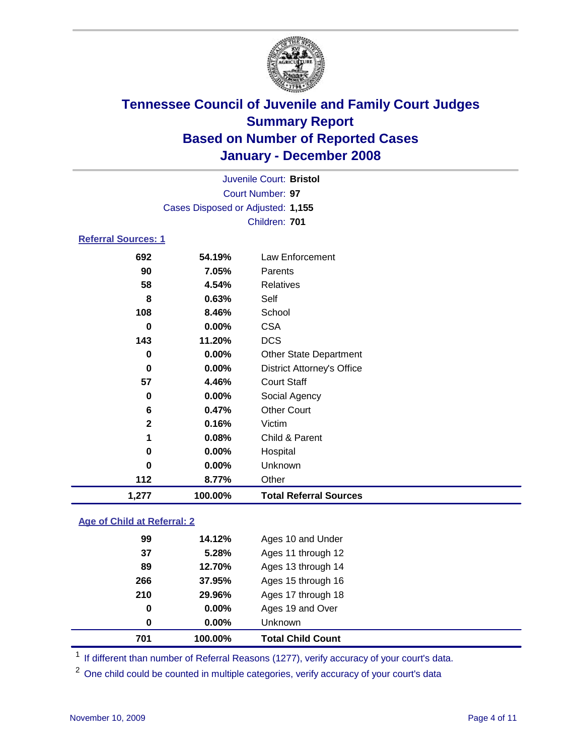

|                            |                                   | Juvenile Court: Bristol |  |
|----------------------------|-----------------------------------|-------------------------|--|
|                            |                                   | Court Number: 97        |  |
|                            | Cases Disposed or Adjusted: 1,155 |                         |  |
|                            |                                   | Children: 701           |  |
| <b>Referral Sources: 1</b> |                                   |                         |  |
| 692                        | 54.19%                            | Law Enforcement         |  |
| 90                         | 7.05%                             | Parents                 |  |
| 58                         | 4.54%                             | Relatives               |  |
| 8                          | 0.63%                             | Self                    |  |
|                            |                                   |                         |  |

| 1,277       | 100.00% | <b>Total Referral Sources</b>     |
|-------------|---------|-----------------------------------|
| 112         | 8.77%   | Other                             |
| 0           | 0.00%   | Unknown                           |
| 0           | 0.00%   | Hospital                          |
| 1           | 0.08%   | Child & Parent                    |
| $\mathbf 2$ | 0.16%   | Victim                            |
| 6           | 0.47%   | <b>Other Court</b>                |
| 0           | 0.00%   | Social Agency                     |
| 57          | 4.46%   | <b>Court Staff</b>                |
| 0           | 0.00%   | <b>District Attorney's Office</b> |
| 0           | 0.00%   | <b>Other State Department</b>     |
| 143         | 11.20%  | <b>DCS</b>                        |
| $\bf{0}$    | 0.00%   | <b>CSA</b>                        |
| 108         | 8.46%   | School                            |
| 8           | 0.63%   | Self                              |
| 58          | 4.54%   | Relatives                         |
| 90          | 7.05%   | Parents                           |
| 692         | 54.19%  | Law Enforcement                   |

#### **Age of Child at Referral: 2**

| 0<br>$\mathbf 0$ | $0.00\%$<br>$0.00\%$ | Ages 19 and Over<br>Unknown |
|------------------|----------------------|-----------------------------|
|                  |                      |                             |
|                  |                      |                             |
|                  | 29.96%               | Ages 17 through 18          |
| 266              | 37.95%               | Ages 15 through 16          |
| 89               | 12.70%               | Ages 13 through 14          |
| 37               | 5.28%                | Ages 11 through 12          |
| 99               | 14.12%               | Ages 10 and Under           |
|                  | 210                  |                             |

<sup>1</sup> If different than number of Referral Reasons (1277), verify accuracy of your court's data.

One child could be counted in multiple categories, verify accuracy of your court's data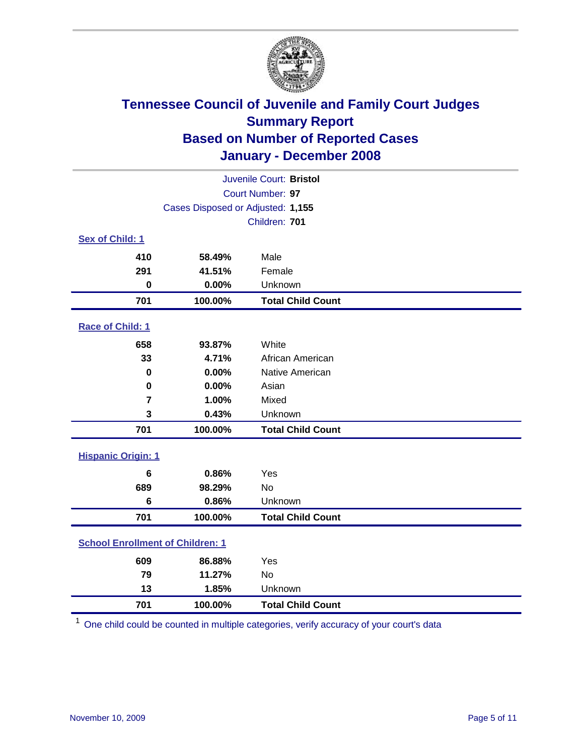

|                                         | Juvenile Court: Bristol           |                          |  |  |  |
|-----------------------------------------|-----------------------------------|--------------------------|--|--|--|
|                                         | Court Number: 97                  |                          |  |  |  |
|                                         | Cases Disposed or Adjusted: 1,155 |                          |  |  |  |
|                                         |                                   | Children: 701            |  |  |  |
| Sex of Child: 1                         |                                   |                          |  |  |  |
| 410                                     | 58.49%                            | Male                     |  |  |  |
| 291                                     | 41.51%                            | Female                   |  |  |  |
| $\bf{0}$                                | 0.00%                             | Unknown                  |  |  |  |
| 701                                     | 100.00%                           | <b>Total Child Count</b> |  |  |  |
| Race of Child: 1                        |                                   |                          |  |  |  |
| 658                                     | 93.87%                            | White                    |  |  |  |
| 33                                      | 4.71%                             | African American         |  |  |  |
| 0                                       | 0.00%                             | Native American          |  |  |  |
| $\mathbf 0$                             | 0.00%                             | Asian                    |  |  |  |
| $\overline{7}$                          | 1.00%                             | Mixed                    |  |  |  |
| 3                                       | 0.43%                             | Unknown                  |  |  |  |
| 701                                     | 100.00%                           | <b>Total Child Count</b> |  |  |  |
| <b>Hispanic Origin: 1</b>               |                                   |                          |  |  |  |
| 6                                       | 0.86%                             | Yes                      |  |  |  |
| 689                                     | 98.29%                            | No                       |  |  |  |
| 6                                       | 0.86%                             | Unknown                  |  |  |  |
| 701                                     | 100.00%                           | <b>Total Child Count</b> |  |  |  |
| <b>School Enrollment of Children: 1</b> |                                   |                          |  |  |  |
| 609                                     | 86.88%                            | Yes                      |  |  |  |
| 79                                      | 11.27%                            | <b>No</b>                |  |  |  |
| 13                                      | 1.85%                             | Unknown                  |  |  |  |
| 701                                     | 100.00%                           | <b>Total Child Count</b> |  |  |  |

One child could be counted in multiple categories, verify accuracy of your court's data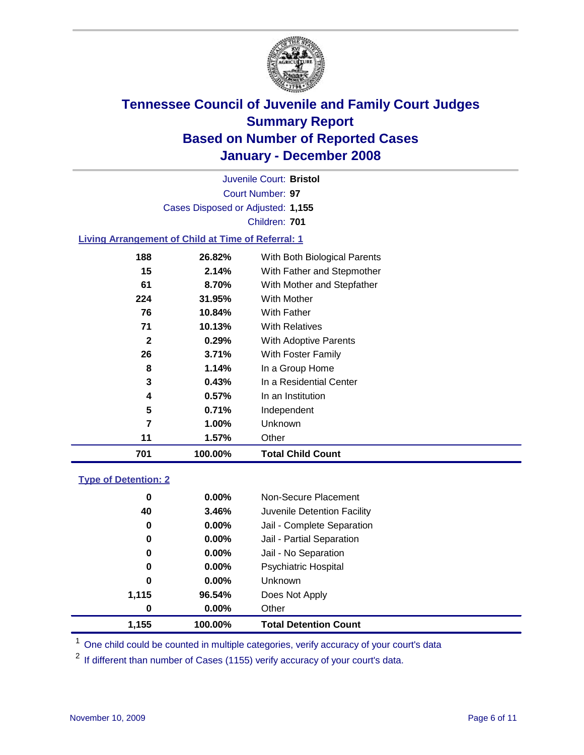

Court Number: **97** Juvenile Court: **Bristol** Cases Disposed or Adjusted: **1,155** Children: **701**

#### **Living Arrangement of Child at Time of Referral: 1**

| 701          | 100.00% | <b>Total Child Count</b>     |  |
|--------------|---------|------------------------------|--|
| 11           | 1.57%   | Other                        |  |
| 7            | 1.00%   | Unknown                      |  |
| 5            | 0.71%   | Independent                  |  |
| 4            | 0.57%   | In an Institution            |  |
| 3            | 0.43%   | In a Residential Center      |  |
| 8            | 1.14%   | In a Group Home              |  |
| 26           | 3.71%   | With Foster Family           |  |
| $\mathbf{2}$ | 0.29%   | With Adoptive Parents        |  |
| 71           | 10.13%  | <b>With Relatives</b>        |  |
| 76           | 10.84%  | With Father                  |  |
| 224          | 31.95%  | With Mother                  |  |
| 61           | 8.70%   | With Mother and Stepfather   |  |
| 15           | 2.14%   | With Father and Stepmother   |  |
| 188          | 26.82%  | With Both Biological Parents |  |
|              |         |                              |  |

#### **Type of Detention: 2**

| 1.155 | 100.00%  | <b>Total Detention Count</b> |  |
|-------|----------|------------------------------|--|
| 0     | 0.00%    | Other                        |  |
| 1,115 | 96.54%   | Does Not Apply               |  |
| 0     | $0.00\%$ | <b>Unknown</b>               |  |
| 0     | 0.00%    | <b>Psychiatric Hospital</b>  |  |
| 0     | 0.00%    | Jail - No Separation         |  |
| 0     | 0.00%    | Jail - Partial Separation    |  |
| 0     | 0.00%    | Jail - Complete Separation   |  |
| 40    | 3.46%    | Juvenile Detention Facility  |  |
| 0     | 0.00%    | Non-Secure Placement         |  |
|       |          |                              |  |

<sup>1</sup> One child could be counted in multiple categories, verify accuracy of your court's data

<sup>2</sup> If different than number of Cases (1155) verify accuracy of your court's data.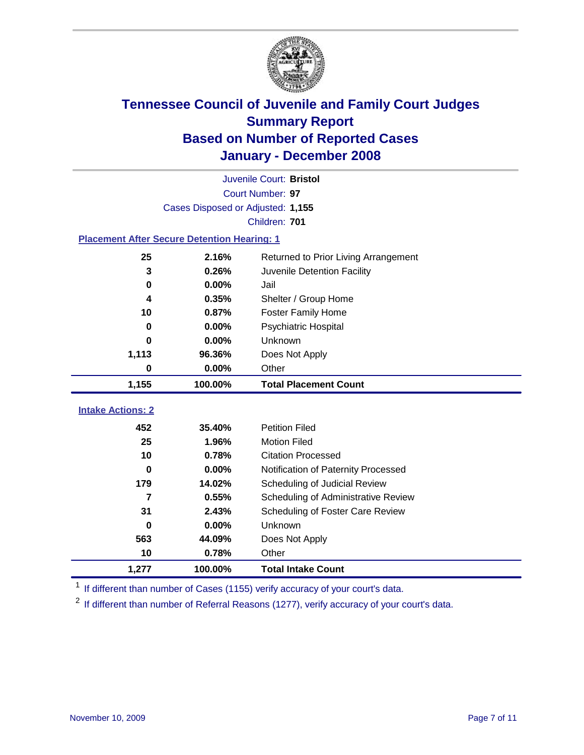

|                                                    | Juvenile Court: Bristol           |                                      |  |  |  |
|----------------------------------------------------|-----------------------------------|--------------------------------------|--|--|--|
| Court Number: 97                                   |                                   |                                      |  |  |  |
|                                                    | Cases Disposed or Adjusted: 1,155 |                                      |  |  |  |
|                                                    |                                   | Children: 701                        |  |  |  |
| <b>Placement After Secure Detention Hearing: 1</b> |                                   |                                      |  |  |  |
| 25                                                 | 2.16%                             | Returned to Prior Living Arrangement |  |  |  |
| 3                                                  | 0.26%                             | Juvenile Detention Facility          |  |  |  |
| $\bf{0}$                                           | 0.00%                             | Jail                                 |  |  |  |
| 4                                                  | 0.35%                             | Shelter / Group Home                 |  |  |  |
| 10                                                 | 0.87%                             | <b>Foster Family Home</b>            |  |  |  |
| $\bf{0}$                                           | 0.00%                             | Psychiatric Hospital                 |  |  |  |
| 0                                                  | 0.00%                             | Unknown                              |  |  |  |
| 1,113                                              | 96.36%                            | Does Not Apply                       |  |  |  |
| $\bf{0}$                                           | 0.00%                             | Other                                |  |  |  |
| 1,155                                              | 100.00%                           | <b>Total Placement Count</b>         |  |  |  |
| <b>Intake Actions: 2</b>                           |                                   |                                      |  |  |  |
|                                                    |                                   |                                      |  |  |  |
| 452                                                | 35.40%                            | <b>Petition Filed</b>                |  |  |  |
| 25                                                 | 1.96%                             | <b>Motion Filed</b>                  |  |  |  |
| 10                                                 | 0.78%                             | <b>Citation Processed</b>            |  |  |  |
| 0                                                  | 0.00%                             | Notification of Paternity Processed  |  |  |  |
| 179                                                | 14.02%                            | Scheduling of Judicial Review        |  |  |  |
| $\overline{7}$                                     | 0.55%                             | Scheduling of Administrative Review  |  |  |  |
| 31                                                 | 2.43%                             | Scheduling of Foster Care Review     |  |  |  |
| $\bf{0}$                                           | 0.00%                             | Unknown                              |  |  |  |
| 563                                                | 44.09%                            | Does Not Apply                       |  |  |  |
| 10                                                 | 0.78%                             | Other                                |  |  |  |
| 1,277                                              | 100.00%                           | <b>Total Intake Count</b>            |  |  |  |

<sup>1</sup> If different than number of Cases (1155) verify accuracy of your court's data.

<sup>2</sup> If different than number of Referral Reasons (1277), verify accuracy of your court's data.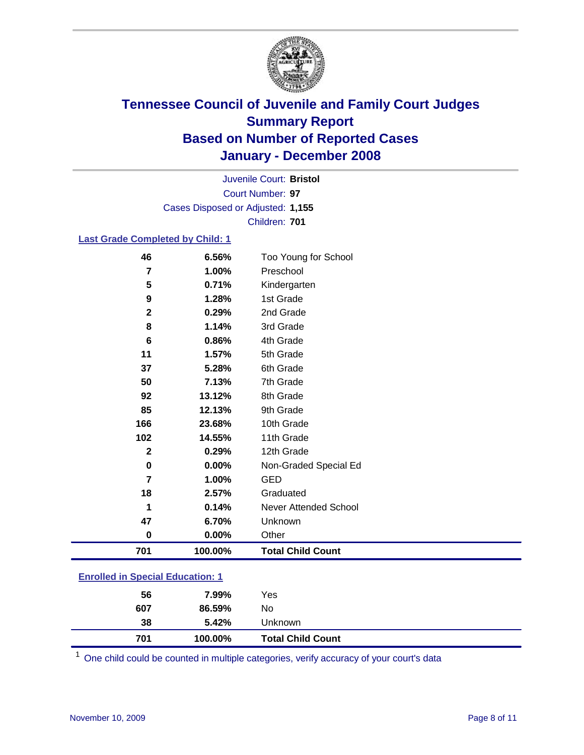

Court Number: **97** Juvenile Court: **Bristol** Cases Disposed or Adjusted: **1,155** Children: **701**

#### **Last Grade Completed by Child: 1**

| 46<br>7        | 6.56%<br>1.00% | Too Young for School<br>Preschool |
|----------------|----------------|-----------------------------------|
| 5              | 0.71%          | Kindergarten                      |
|                |                |                                   |
| 9              | 1.28%          | 1st Grade                         |
| $\mathbf{2}$   | 0.29%          | 2nd Grade                         |
| 8              | 1.14%          | 3rd Grade                         |
| 6              | 0.86%          | 4th Grade                         |
| 11             | 1.57%          | 5th Grade                         |
| 37             | 5.28%          | 6th Grade                         |
| 50             | 7.13%          | 7th Grade                         |
| 92             | 13.12%         | 8th Grade                         |
| 85             | 12.13%         | 9th Grade                         |
| 166            | 23.68%         | 10th Grade                        |
| 102            | 14.55%         | 11th Grade                        |
| $\mathbf 2$    | 0.29%          | 12th Grade                        |
| 0              | 0.00%          | Non-Graded Special Ed             |
| $\overline{7}$ | 1.00%          | <b>GED</b>                        |
| 18             | 2.57%          | Graduated                         |
|                | 0.14%          | Never Attended School             |
| 47             | 6.70%          | Unknown                           |
| 0              | 0.00%          | Other                             |
| 701            | 100.00%        | <b>Total Child Count</b>          |

### **Enrolled in Special Education: 1**

| 38<br>701 | 5.42%<br>100.00% | Unknown<br><b>Total Child Count</b> |
|-----------|------------------|-------------------------------------|
| 607       | 86.59%           | No                                  |
| 56        | 7.99%            | Yes                                 |

<sup>1</sup> One child could be counted in multiple categories, verify accuracy of your court's data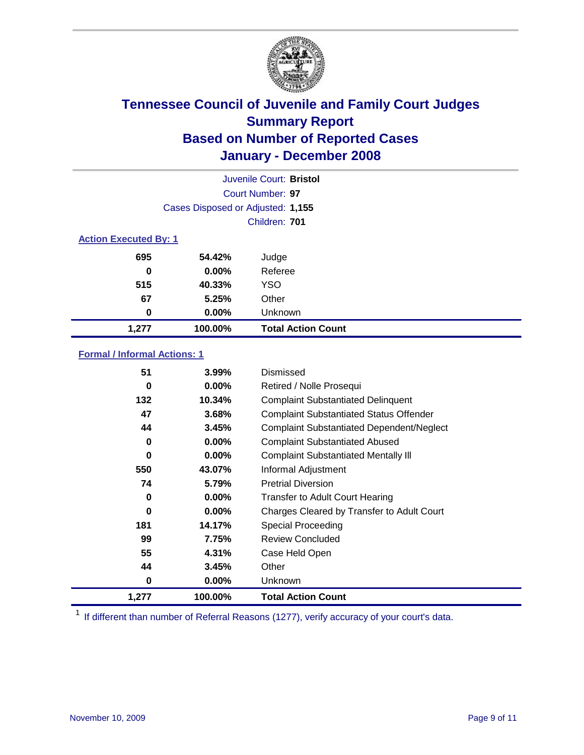

|                              |                                   | Juvenile Court: Bristol   |
|------------------------------|-----------------------------------|---------------------------|
|                              |                                   | Court Number: 97          |
|                              | Cases Disposed or Adjusted: 1,155 |                           |
|                              |                                   | Children: 701             |
| <b>Action Executed By: 1</b> |                                   |                           |
| 695                          | 54.42%                            | Judge                     |
| 0                            | $0.00\%$                          | Referee                   |
| 515                          | 40.33%                            | <b>YSO</b>                |
| 67                           | 5.25%                             | Other                     |
| 0                            | $0.00\%$                          | Unknown                   |
| 1,277                        | 100.00%                           | <b>Total Action Count</b> |

### **Formal / Informal Actions: 1**

| 51    | $3.99\%$ | Dismissed                                        |
|-------|----------|--------------------------------------------------|
| 0     | 0.00%    | Retired / Nolle Prosequi                         |
| 132   | 10.34%   | <b>Complaint Substantiated Delinquent</b>        |
| 47    | 3.68%    | <b>Complaint Substantiated Status Offender</b>   |
| 44    | 3.45%    | <b>Complaint Substantiated Dependent/Neglect</b> |
| 0     | 0.00%    | <b>Complaint Substantiated Abused</b>            |
| 0     | $0.00\%$ | <b>Complaint Substantiated Mentally III</b>      |
| 550   | 43.07%   | Informal Adjustment                              |
| 74    | 5.79%    | <b>Pretrial Diversion</b>                        |
| 0     | $0.00\%$ | <b>Transfer to Adult Court Hearing</b>           |
| 0     | $0.00\%$ | Charges Cleared by Transfer to Adult Court       |
| 181   | 14.17%   | Special Proceeding                               |
| 99    | 7.75%    | <b>Review Concluded</b>                          |
| 55    | 4.31%    | Case Held Open                                   |
| 44    | 3.45%    | Other                                            |
| 0     | $0.00\%$ | <b>Unknown</b>                                   |
| 1,277 | 100.00%  | <b>Total Action Count</b>                        |

<sup>1</sup> If different than number of Referral Reasons (1277), verify accuracy of your court's data.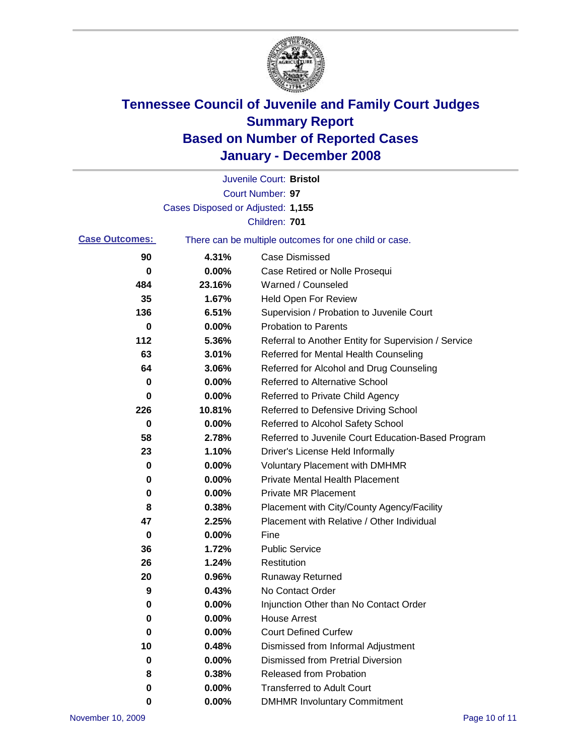

|                       |                                   | Juvenile Court: Bristol                               |
|-----------------------|-----------------------------------|-------------------------------------------------------|
|                       |                                   | Court Number: 97                                      |
|                       | Cases Disposed or Adjusted: 1,155 |                                                       |
|                       |                                   | Children: 701                                         |
| <b>Case Outcomes:</b> |                                   | There can be multiple outcomes for one child or case. |
| 90                    | 4.31%                             | <b>Case Dismissed</b>                                 |
| 0                     | 0.00%                             | Case Retired or Nolle Prosequi                        |
| 484                   | 23.16%                            | Warned / Counseled                                    |
| 35                    | 1.67%                             | <b>Held Open For Review</b>                           |
| 136                   | 6.51%                             | Supervision / Probation to Juvenile Court             |
| 0                     | 0.00%                             | <b>Probation to Parents</b>                           |
| 112                   | 5.36%                             | Referral to Another Entity for Supervision / Service  |
| 63                    | 3.01%                             | Referred for Mental Health Counseling                 |
| 64                    | 3.06%                             | Referred for Alcohol and Drug Counseling              |
| 0                     | 0.00%                             | <b>Referred to Alternative School</b>                 |
| 0                     | 0.00%                             | Referred to Private Child Agency                      |
| 226                   | 10.81%                            | Referred to Defensive Driving School                  |
| 0                     | 0.00%                             | Referred to Alcohol Safety School                     |
| 58                    | 2.78%                             | Referred to Juvenile Court Education-Based Program    |
| 23                    | 1.10%                             | Driver's License Held Informally                      |
| 0                     | 0.00%                             | <b>Voluntary Placement with DMHMR</b>                 |
| 0                     | 0.00%                             | <b>Private Mental Health Placement</b>                |
| 0                     | 0.00%                             | <b>Private MR Placement</b>                           |
| 8                     | 0.38%                             | Placement with City/County Agency/Facility            |
| 47                    | 2.25%                             | Placement with Relative / Other Individual            |
| 0                     | 0.00%                             | Fine                                                  |
| 36                    | 1.72%                             | <b>Public Service</b>                                 |
| 26                    | 1.24%                             | Restitution                                           |
| 20                    | 0.96%                             | <b>Runaway Returned</b>                               |
| 9                     | 0.43%                             | No Contact Order                                      |
| 0                     | $0.00\%$                          | Injunction Other than No Contact Order                |
| 0                     | 0.00%                             | <b>House Arrest</b>                                   |
| 0                     | 0.00%                             | <b>Court Defined Curfew</b>                           |
| 10                    | 0.48%                             | Dismissed from Informal Adjustment                    |
| 0                     | 0.00%                             | <b>Dismissed from Pretrial Diversion</b>              |
| 8                     | 0.38%                             | <b>Released from Probation</b>                        |
| 0                     | 0.00%                             | <b>Transferred to Adult Court</b>                     |
| 0                     | 0.00%                             | <b>DMHMR Involuntary Commitment</b>                   |